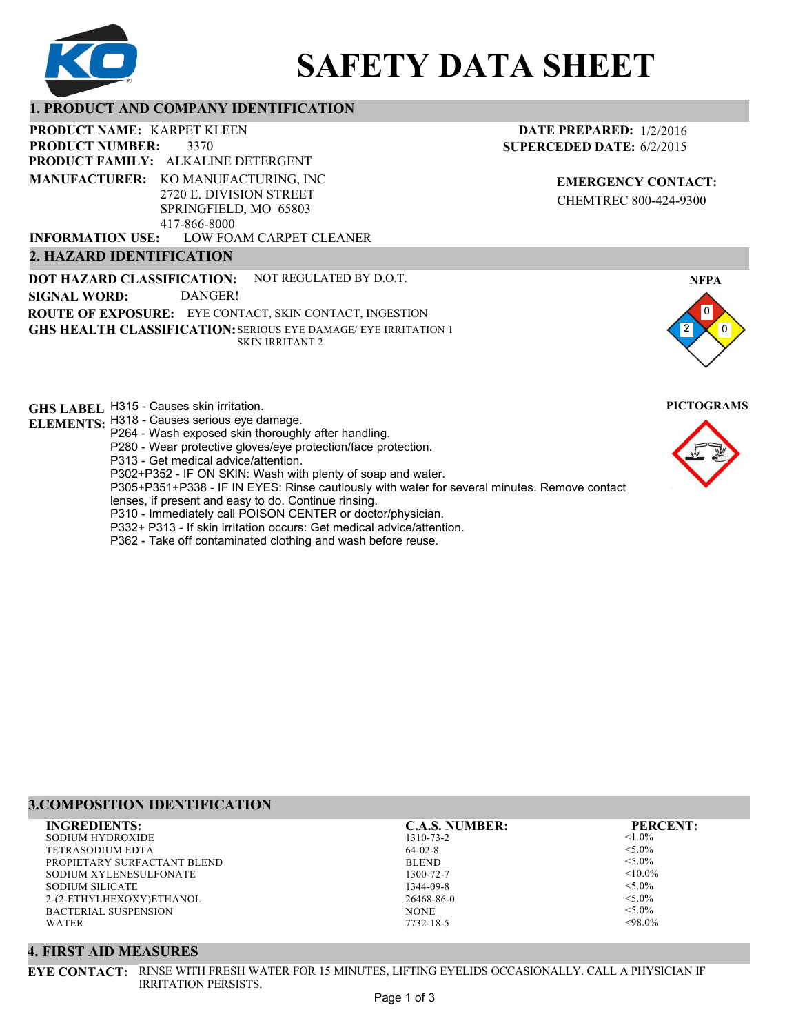

# **SAFETY DATA SHEET**

# **1. PRODUCT AND COMPANY IDENTIFICATION**

3370 PRODUCT NAME: KARPET KLEEN **PRODUCT FAMILY: ALKALINE DETERGENT** LOW FOAM CARPET CLEANER **PRODUCT NUMBER: MANUFACTURER:** KO MANUFACTURING, INC 2720 E. DIVISION STREET SPRINGFIELD, MO 65803 417-866-8000 **INFORMATION USE:**

# **2. HAZARD IDENTIFICATION**

**DOT HAZARD CLASSIFICATION: GHS HEALTH CLASSIFICATION:** SERIOUS EYE DAMAGE/ EYE IRRITATION 1 **ROUTE OF EXPOSURE:** EYE CONTACT, SKIN CONTACT, INGESTION NOT REGULATED BY D.O.T. SKIN IRRITANT 2 **SIGNAL WORD:** DANGER!

**GHS LABEL**  H315 - Causes skin irritation. **PICTOGRAMS**

- **ELEMENTS:** H318 Causes serious eye damage.
	- P264 Wash exposed skin thoroughly after handling.
		- P280 Wear protective gloves/eye protection/face protection.
		- P313 Get medical advice/attention.
		- P302+P352 IF ON SKIN: Wash with plenty of soap and water.

P305+P351+P338 - IF IN EYES: Rinse cautiously with water for several minutes. Remove contact

- lenses, if present and easy to do. Continue rinsing.
- P310 Immediately call POISON CENTER or doctor/physician.
- P332+ P313 If skin irritation occurs: Get medical advice/attention.
- P362 Take off contaminated clothing and wash before reuse.

#### **DATE PREPARED:** 1/2/2016 **SUPERCEDED DATE:** 6/2/2015

**EMERGENCY CONTACT:** CHEMTREC 800-424-9300





# **3.COMPOSITION IDENTIFICATION**

| <b>INGREDIENTS:</b>         | <b>C.A.S. NUMBER:</b> | <b>PERCENT:</b> |
|-----------------------------|-----------------------|-----------------|
| SODIUM HYDROXIDE            | 1310-73-2             | $< 1.0\%$       |
| TETRASODIUM EDTA            | $64-02-8$             | $< 5.0\%$       |
| PROPIETARY SURFACTANT BLEND | <b>BLEND</b>          | $< 5.0\%$       |
| SODIUM XYLENESULFONATE      | 1300-72-7             | $< 10.0\%$      |
| SODIUM SILICATE             | 1344-09-8             | $< 5.0\%$       |
| 2-(2-ETHYLHEXOXY)ETHANOL    | 26468-86-0            | $< 5.0\%$       |
| <b>BACTERIAL SUSPENSION</b> | <b>NONE</b>           | $< 5.0\%$       |
| <b>WATER</b>                | 7732-18-5             | $<98.0\%$       |
|                             |                       |                 |

#### **4. FIRST AID MEASURES**

**EYE CONTACT:** RINSE WITH FRESH WATER FOR 15 MINUTES, LIFTING EYELIDS OCCASIONALLY. CALL A PHYSICIAN IF IRRITATION PERSISTS.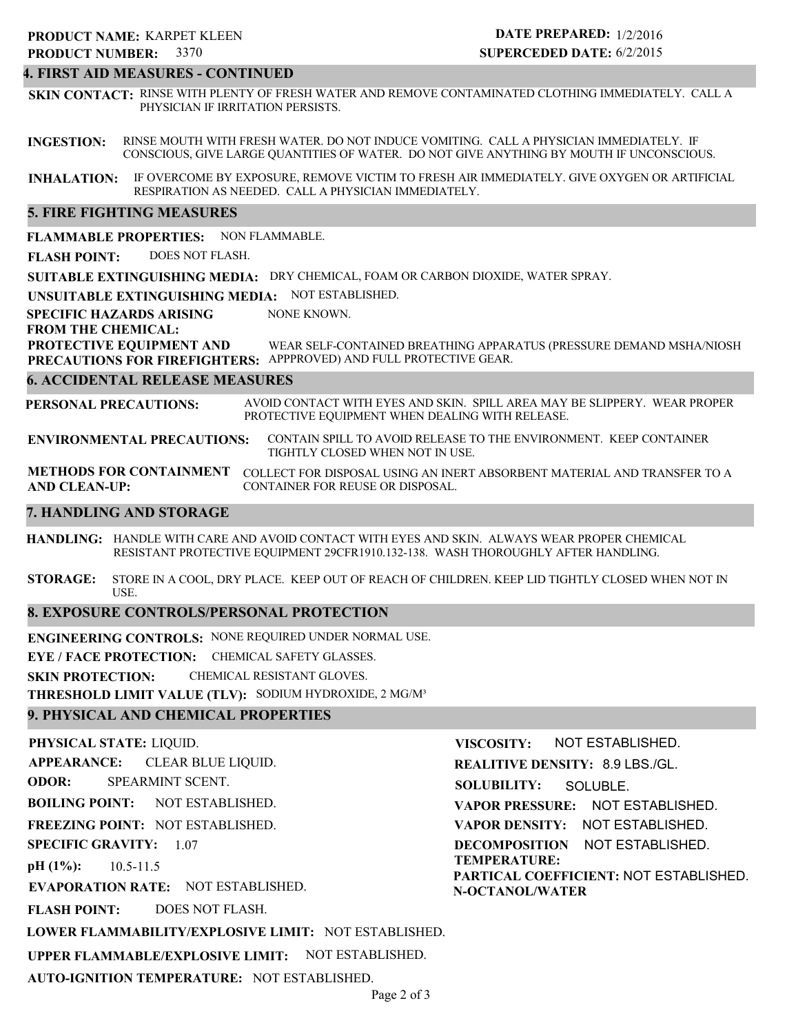#### **4. FIRST AID MEASURES - CONTINUED**

**SKIN CONTACT:** RINSE WITH PLENTY OF FRESH WATER AND REMOVE CONTAMINATED CLOTHING IMMEDIATELY. CALL A PHYSICIAN IF IRRITATION PERSISTS.

**INGESTION:** RINSE MOUTH WITH FRESH WATER. DO NOT INDUCE VOMITING. CALL A PHYSICIAN IMMEDIATELY. IF CONSCIOUS, GIVE LARGE QUANTITIES OF WATER. DO NOT GIVE ANYTHING BY MOUTH IF UNCONSCIOUS.

**INHALATION:** IF OVERCOME BY EXPOSURE, REMOVE VICTIM TO FRESH AIR IMMEDIATELY. GIVE OXYGEN OR ARTIFICIAL RESPIRATION AS NEEDED. CALL A PHYSICIAN IMMEDIATELY.

#### **5. FIRE FIGHTING MEASURES**

**FLAMMABLE PROPERTIES:** NON FLAMMABLE.

**FLASH POINT:** DOES NOT FLASH.

**SUITABLE EXTINGUISHING MEDIA:** DRY CHEMICAL, FOAM OR CARBON DIOXIDE, WATER SPRAY.

**UNSUITABLE EXTINGUISHING MEDIA:** NOT ESTABLISHED.

**SPECIFIC HAZARDS ARISING** NONE KNOWN.

**FROM THE CHEMICAL:**

**PROTECTIVE EQUIPMENT AND PRECAUTIONS FOR FIREFIGHTERS:** APPPROVED) AND FULL PROTECTIVE GEAR. WEAR SELF-CONTAINED BREATHING APPARATUS (PRESSURE DEMAND MSHA/NIOSH

#### **6. ACCIDENTAL RELEASE MEASURES**

**PERSONAL PRECAUTIONS:** AVOID CONTACT WITH EYES AND SKIN. SPILL AREA MAY BE SLIPPERY. WEAR PROPER PROTECTIVE EQUIPMENT WHEN DEALING WITH RELEASE.

**ENVIRONMENTAL PRECAUTIONS:** CONTAIN SPILL TO AVOID RELEASE TO THE ENVIRONMENT. KEEP CONTAINER TIGHTLY CLOSED WHEN NOT IN USE.

**METHODS FOR CONTAINMENT** COLLECT FOR DISPOSAL USING AN INERT ABSORBENT MATERIAL AND TRANSFER TO A **AND CLEAN-UP:** CONTAINER FOR REUSE OR DISPOSAL.

#### **7. HANDLING AND STORAGE**

**HANDLING:** HANDLE WITH CARE AND AVOID CONTACT WITH EYES AND SKIN. ALWAYS WEAR PROPER CHEMICAL RESISTANT PROTECTIVE EQUIPMENT 29CFR1910.132-138. WASH THOROUGHLY AFTER HANDLING.

**STORAGE:** STORE IN A COOL, DRY PLACE. KEEP OUT OF REACH OF CHILDREN. KEEP LID TIGHTLY CLOSED WHEN NOT IN USE.

#### **8. EXPOSURE CONTROLS/PERSONAL PROTECTION**

**ENGINEERING CONTROLS:** NONE REQUIRED UNDER NORMAL USE.

**EYE / FACE PROTECTION:** CHEMICAL SAFETY GLASSES.

**SKIN PROTECTION:** CHEMICAL RESISTANT GLOVES.

**THRESHOLD LIMIT VALUE (TLV):** SODIUM HYDROXIDE, 2 MG/M³

#### **9. PHYSICAL AND CHEMICAL PROPERTIES**

**PHYSICAL STATE:** LIQUID. **APPEARANCE: ODOR: BOILING POINT: FREEZING POINT:** NOT ESTABLISHED. **SPECIFIC GRAVITY:** 1.07 **pH (1%): EVAPORATION RATE:** NOT ESTABLISHED. **FLASH POINT: LOWER FLAMMABILITY/EXPLOSIVE LIMIT:** NOT ESTABLISHED. **UPPER FLAMMABLE/EXPLOSIVE LIMIT:** NOT ESTABLISHED. NOT ESTABLISHED. 10.5-11.5 DOES NOT FLASH. CLEAR BLUE LIQUID. SPEARMINT SCENT. **VISCOSITY: REALITIVE DENSITY:** 8.9 LBS./GL. **SOLUBILITY: VAPOR PRESSURE:** NOT ESTABLISHED. **VAPOR DENSITY:** NOT ESTABLISHED. **DECOMPOSITION** NOT ESTABLISHED. **TEMPERATURE: PARTICAL COEFFICIENT:** NOT ESTABLISHED. **N-OCTANOL/WATER** NOT ESTABLISHED. SOLUBLE.

**AUTO-IGNITION TEMPERATURE:** NOT ESTABLISHED.